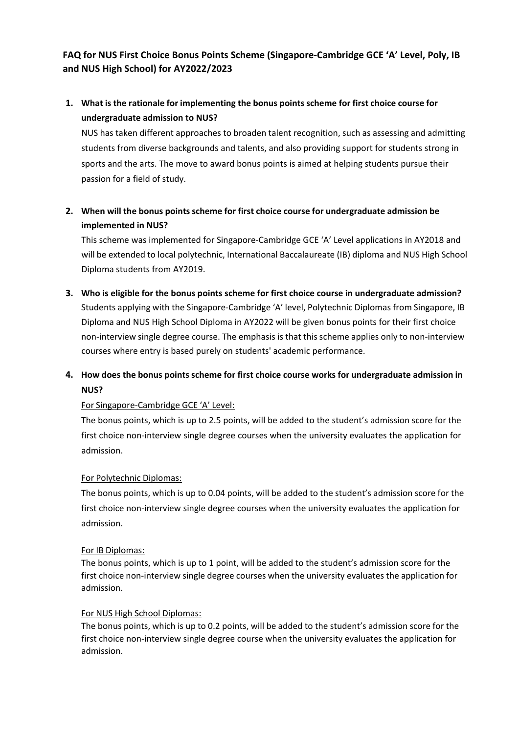## **FAQ for NUS First Choice Bonus Points Scheme (Singapore-Cambridge GCE 'A' Level, Poly, IB and NUS High School) for AY2022/2023**

# **1. What is the rationale for implementing the bonus points scheme for first choice course for undergraduate admission to NUS?**

NUS has taken different approaches to broaden talent recognition, such as assessing and admitting students from diverse backgrounds and talents, and also providing support for students strong in sports and the arts. The move to award bonus points is aimed at helping students pursue their passion for a field of study.

## **2. When will the bonus pointsscheme for first choice course for undergraduate admission be implemented in NUS?**

This scheme was implemented for Singapore-Cambridge GCE 'A' Level applications in AY2018 and will be extended to local polytechnic, International Baccalaureate (IB) diploma and NUS High School Diploma students from AY2019.

**3. Who is eligible for the bonus points scheme for first choice course in undergraduate admission?** Students applying with the Singapore-Cambridge 'A' level, Polytechnic Diplomas from Singapore, IB Diploma and NUS High School Diploma in AY2022 will be given bonus points for their first choice non-interview single degree course. The emphasis is that thisscheme applies only to non-interview courses where entry is based purely on students' academic performance.

# **4. How does the bonus points scheme for first choice course works for undergraduate admission in NUS?**

## For Singapore-Cambridge GCE 'A' Level:

The bonus points, which is up to 2.5 points, will be added to the student's admission score for the first choice non-interview single degree courses when the university evaluates the application for admission.

## For Polytechnic Diplomas:

The bonus points, which is up to 0.04 points, will be added to the student's admission score for the first choice non-interview single degree courses when the university evaluates the application for admission.

## For IB Diplomas:

The bonus points, which is up to 1 point, will be added to the student's admission score for the first choice non-interview single degree courses when the university evaluates the application for admission.

## For NUS High School Diplomas:

The bonus points, which is up to 0.2 points, will be added to the student's admission score for the first choice non-interview single degree course when the university evaluates the application for admission.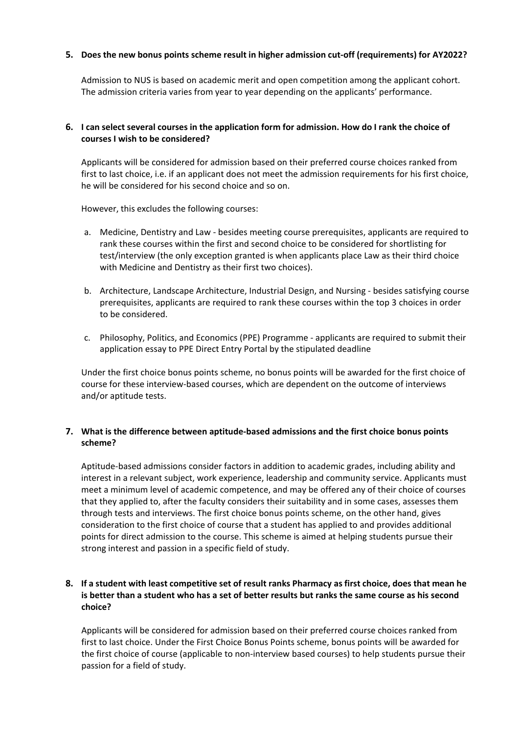#### **5. Does the new bonus points scheme result in higher admission cut-off (requirements) for AY2022?**

Admission to NUS is based on academic merit and open competition among the applicant cohort. The admission criteria varies from year to year depending on the applicants' performance.

#### 6. I can select several courses in the application form for admission. How do I rank the choice of **courses I wish to be considered?**

Applicants will be considered for admission based on their preferred course choices ranked from first to last choice, i.e. if an applicant does not meet the admission requirements for his first choice, he will be considered for his second choice and so on.

However, this excludes the following courses:

- a. Medicine, Dentistry and Law besides meeting course prerequisites, applicants are required to rank these courses within the first and second choice to be considered for shortlisting for test/interview (the only exception granted is when applicants place Law as their third choice with Medicine and Dentistry as their first two choices).
- b. Architecture, Landscape Architecture, Industrial Design, and Nursing besides satisfying course prerequisites, applicants are required to rank these courses within the top 3 choices in order to be considered.
- c. Philosophy, Politics, and Economics (PPE) Programme applicants are required to submit their application essay to PPE Direct Entry Portal by the stipulated deadline

Under the first choice bonus points scheme, no bonus points will be awarded for the first choice of course for these interview-based courses, which are dependent on the outcome of interviews and/or aptitude tests.

#### **7. What is the difference between aptitude-based admissions and the first choice bonus points scheme?**

Aptitude-based admissions consider factors in addition to academic grades, including ability and interest in a relevant subject, work experience, leadership and community service. Applicants must meet a minimum level of academic competence, and may be offered any of their choice of courses that they applied to, after the faculty considers their suitability and in some cases, assesses them through tests and interviews. The first choice bonus points scheme, on the other hand, gives consideration to the first choice of course that a student has applied to and provides additional points for direct admission to the course. This scheme is aimed at helping students pursue their strong interest and passion in a specific field of study.

## 8. If a student with least competitive set of result ranks Pharmacy as first choice, does that mean he **is better than a student who has a set of better results but ranks the same course as his second choice?**

Applicants will be considered for admission based on their preferred course choices ranked from first to last choice. Under the First Choice Bonus Points scheme, bonus points will be awarded for the first choice of course (applicable to non-interview based courses) to help students pursue their passion for a field of study.